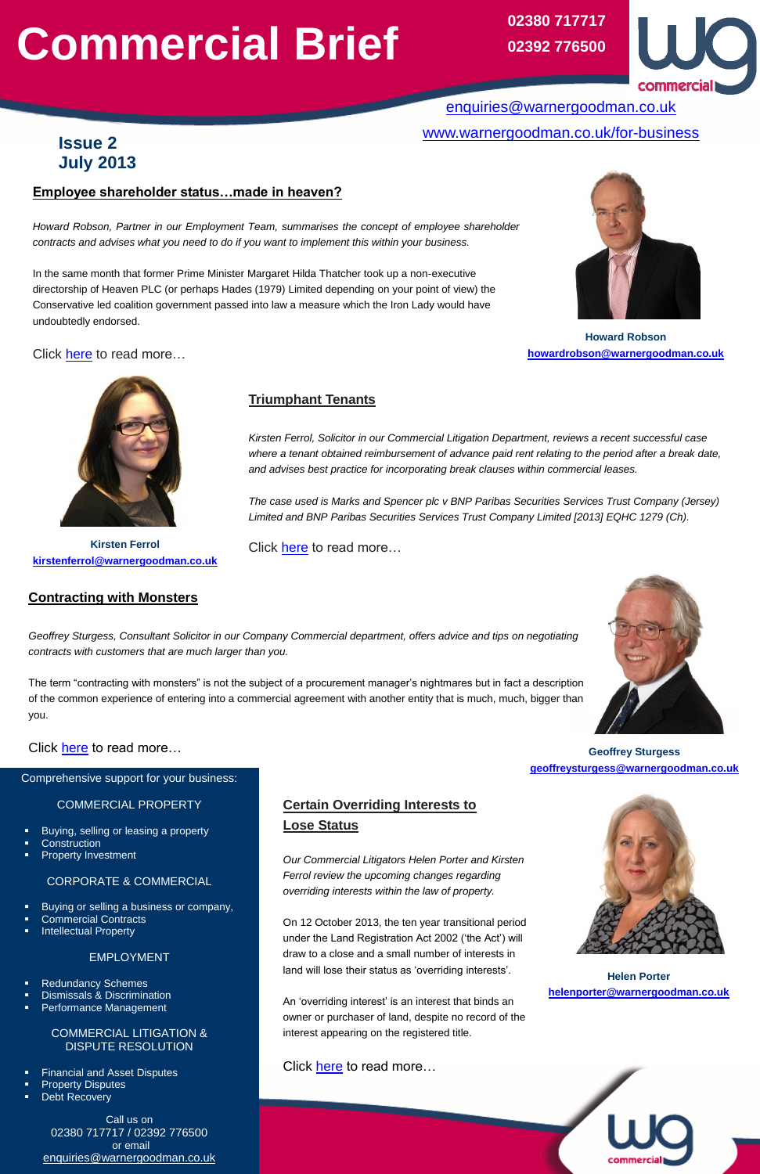# **Commercial Brief**

# **Contracting with Monsters**

*Geoffrey Sturgess, Consultant Solicitor in our Company Commercial department, offers advice and tips on negotiating contracts with customers that are much larger than you.* 

The term "contracting with monsters" is not the subject of a procurement manager's nightmares but in fact a description of the common experience of entering into a commercial agreement with another entity that is much, much, bigger than you.

Click [here](https://www.warnergoodman.co.uk/site/blog/news/contracting-with-monsters) to read more…

# **Certain Overriding Interests to Lose Status**

*Our Commercial Litigators Helen Porter and Kirsten Ferrol review the upcoming changes regarding overriding interests within the law of property.*

On 12 October 2013, the ten year transitional period under the Land Registration Act 2002 ('the Act') will draw to a close and a small number of interests in land will lose their status as 'overriding interests'.

An 'overriding interest' is an interest that binds an owner or purchaser of land, despite no record of the interest appearing on the registered title.



## **Employee shareholder status…made in heaven?**

*Howard Robson, Partner in our Employment Team, summarises the concept of employee shareholder contracts and advises what you need to do if you want to implement this within your business.*

In the same month that former Prime Minister Margaret Hilda Thatcher took up a non-executive directorship of Heaven PLC (or perhaps Hades (1979) Limited depending on your point of view) the Conservative led coalition government passed into law a measure which the Iron Lady would have undoubtedly endorsed.





Comprehensive support for your business:

#### COMMERCIAL PROPERTY

- Buying, selling or leasing a property
- **Construction**
- Property Investment
- 

#### CORPORATE & COMMERCIAL

- Buying or selling a business or company,
- Commercial Contracts
- Intellectual Property

#### EMPLOYMENT

- Redundancy Schemes
- Dismissals & Discrimination
- Performance Management

#### COMMERCIAL LITIGATION & DISPUTE RESOLUTION

- Financial and Asset Disputes
- Property Disputes
- Debt Recovery

Call us on 02380 717717 / 02392 776500 or email [enquiries@warnergoodman.co.uk](mailto:enquiries@warnergoodman.co.uk)

# **Issue 2 July 2013**

[enquiries@warnergoodman.co.uk](mailto:enquiries@warnergoodman.co.uk)

# [www.warnergoodman.co.uk/for-business](http://www.warnergoodman.co.uk/for-business)

# **Triumphant Tenants**

*Kirsten Ferrol, Solicitor in our Commercial Litigation Department, reviews a recent successful case where a tenant obtained reimbursement of advance paid rent relating to the period after a break date, and advises best practice for incorporating break clauses within commercial leases.* 

**02380 717717 02392 776500**



*The case used is Marks and Spencer plc v BNP Paribas Securities Services Trust Company (Jersey) Limited and BNP Paribas Securities Services Trust Company Limited [2013] EQHC 1279 (Ch).*

Click [here](https://www.warnergoodman.co.uk/site/blog/news/triumphant-tenants) to read more...



**Howard Robson [howardrobson@warnergoodman.co.uk](mailto:howardrobson@warnergoodman.co.uk)**

# **Geoffrey Sturgess [geoffreysturgess@warnergoodman.co.uk](mailto:geoffreysturgess@warnergoodman.co.uk)**





**Kirsten Ferrol [kirstenferrol@warnergoodman.co.uk](mailto:kirstenferrol@warnergoodman.co.uk)**

**Helen Porter [helenporter@warnergoodman.co.uk](mailto:helenporter@warnergoodman.co.uk)**